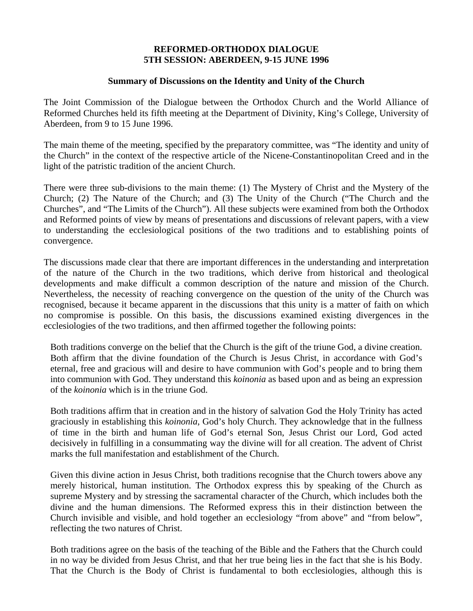## **REFORMED-ORTHODOX DIALOGUE 5TH SESSION: ABERDEEN, 9-15 JUNE 1996**

## **Summary of Discussions on the Identity and Unity of the Church**

The Joint Commission of the Dialogue between the Orthodox Church and the World Alliance of Reformed Churches held its fifth meeting at the Department of Divinity, King's College, University of Aberdeen, from 9 to 15 June 1996.

The main theme of the meeting, specified by the preparatory committee, was "The identity and unity of the Church" in the context of the respective article of the Nicene-Constantinopolitan Creed and in the light of the patristic tradition of the ancient Church.

There were three sub-divisions to the main theme: (1) The Mystery of Christ and the Mystery of the Church; (2) The Nature of the Church; and (3) The Unity of the Church ("The Church and the Churches", and "The Limits of the Church"). All these subjects were examined from both the Orthodox and Reformed points of view by means of presentations and discussions of relevant papers, with a view to understanding the ecclesiological positions of the two traditions and to establishing points of convergence.

The discussions made clear that there are important differences in the understanding and interpretation of the nature of the Church in the two traditions, which derive from historical and theological developments and make difficult a common description of the nature and mission of the Church. Nevertheless, the necessity of reaching convergence on the question of the unity of the Church was recognised, because it became apparent in the discussions that this unity is a matter of faith on which no compromise is possible. On this basis, the discussions examined existing divergences in the ecclesiologies of the two traditions, and then affirmed together the following points:

Both traditions converge on the belief that the Church is the gift of the triune God, a divine creation. Both affirm that the divine foundation of the Church is Jesus Christ, in accordance with God's eternal, free and gracious will and desire to have communion with God's people and to bring them into communion with God. They understand this *koinonia* as based upon and as being an expression of the *koinonia* which is in the triune God.

Both traditions affirm that in creation and in the history of salvation God the Holy Trinity has acted graciously in establishing this *koinonia*, God's holy Church. They acknowledge that in the fullness of time in the birth and human life of God's eternal Son, Jesus Christ our Lord, God acted decisively in fulfilling in a consummating way the divine will for all creation. The advent of Christ marks the full manifestation and establishment of the Church.

Given this divine action in Jesus Christ, both traditions recognise that the Church towers above any merely historical, human institution. The Orthodox express this by speaking of the Church as supreme Mystery and by stressing the sacramental character of the Church, which includes both the divine and the human dimensions. The Reformed express this in their distinction between the Church invisible and visible, and hold together an ecclesiology "from above" and "from below", reflecting the two natures of Christ.

Both traditions agree on the basis of the teaching of the Bible and the Fathers that the Church could in no way be divided from Jesus Christ, and that her true being lies in the fact that she is his Body. That the Church is the Body of Christ is fundamental to both ecclesiologies, although this is